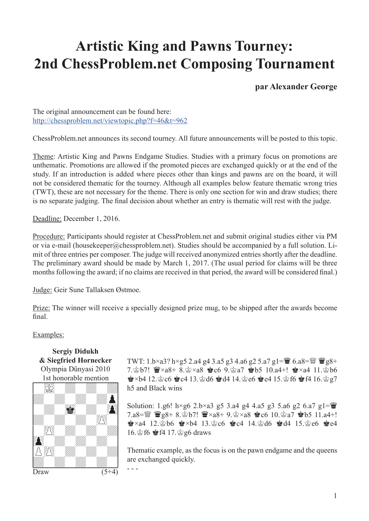## $\mathbf{A}$  and  $\mathbf{B}$ **Artistic King and Pawns Tourney: 2nd ChessProblem.net Composing Tournament**

**par Alexander George**

The original announcement can be found here: http://chessproblem.net/viewtopic.php?f=46&t=962

ChessProblem.net announces its second tourney. All future announcements will be posted to this topic.

Theme: Artistic King and Pawns Endgame Studies. Studies with a primary focus on promotions are unthematic. Promotions are allowed if the promoted pieces are exchanged quickly or at the end of the study. If an introduction is added where pieces other than kings and pawns are on the board, it will not be considered thematic for the tourney. Although all examples below feature thematic wrong tries (TWT), these are not necessary for the theme. There is only one section for win and draw studies; there is no separate judging. The final decision about whether an entry is thematic will rest with the judge.

Deadline: December 1, 2016.

Procedure: Participants should register at ChessProblem.net and submit original studies either via PM or via e-mail (housekeeper@chessproblem.net). Studies should be accompanied by a full solution. Limit of three entries per composer. The judge will received anonymized entries shortly after the deadline. The preliminary award should be made by March 1, 2017. (The usual period for claims will be three months following the award; if no claims are received in that period, the award will be considered final.)

Judge: Geir Sune Tallaksen Østmoe.

Prize: The winner will receive a specially designed prize mug, to be shipped after the awards become final.

## Examples:

**Sergiy Didukh & Siegfried Hornecker** Olympia Dünyasi 2010 1st honorable mention



TWT: 1.b×a3? h×g5 2.a4 g4 3.a5 g3 4.a6 g2 5.a7 g1= $\ddot{\mathbf{w}}$  6.a8= $\ddot{\mathbf{w}}$   $\ddot{\mathbf{w}}$ g8+ 7. pb7!  $\mathbf{W} \times a8+8$ .  $\approx$   $\times a8$  Rec6 9.  $\approx a7$  Report 10.a4+!  $\approx$   $\times a4$  11.  $\approx$  b6  $\dot{\mathbf{F}} \times 54$  12. $\dot{\mathbf{F}}$  c6  $\dot{\mathbf{F}}$  c4 13. $\dot{\mathbf{F}}$  d6  $\dot{\mathbf{F}}$  d4 14. $\dot{\mathbf{F}}$  e6  $\dot{\mathbf{F}}$  e4 15. $\dot{\mathbf{F}}$  f6  $\dot{\mathbf{F}}$  f4 16. $\dot{\mathbf{F}}$  g7 h5 and Black wins

Solution: 1.g6! h×g6 2.b×a3 g5 3.a4 g4 4.a5 g3 5.a6 g2 6.a7 g1= $\ddot{\mathbf{w}}$ 7.a8= $\frac{100}{2}$  \gg8+ 8. $\frac{1}{2}$ b7!  $\frac{100}{2} \times a8 + 9$ . $\frac{1}{2} \times a8$  & c6 10. $\frac{100}{2} a7$  & b5 11.a4+!  $\bullet$ ×a4 12. $\bullet$ b6  $\bullet$ ×b4 13. $\circ$ c6  $\bullet$ c4 14. $\circ$ d6  $\bullet$ d4 15. $\circ$ e6  $\bullet$ e4 16. $\circledast$  f6  $\circledast$  f4 17. $\circledast$  g6 draws

Thematic example, as the focus is on the pawn endgame and the queens are exchanged quickly.